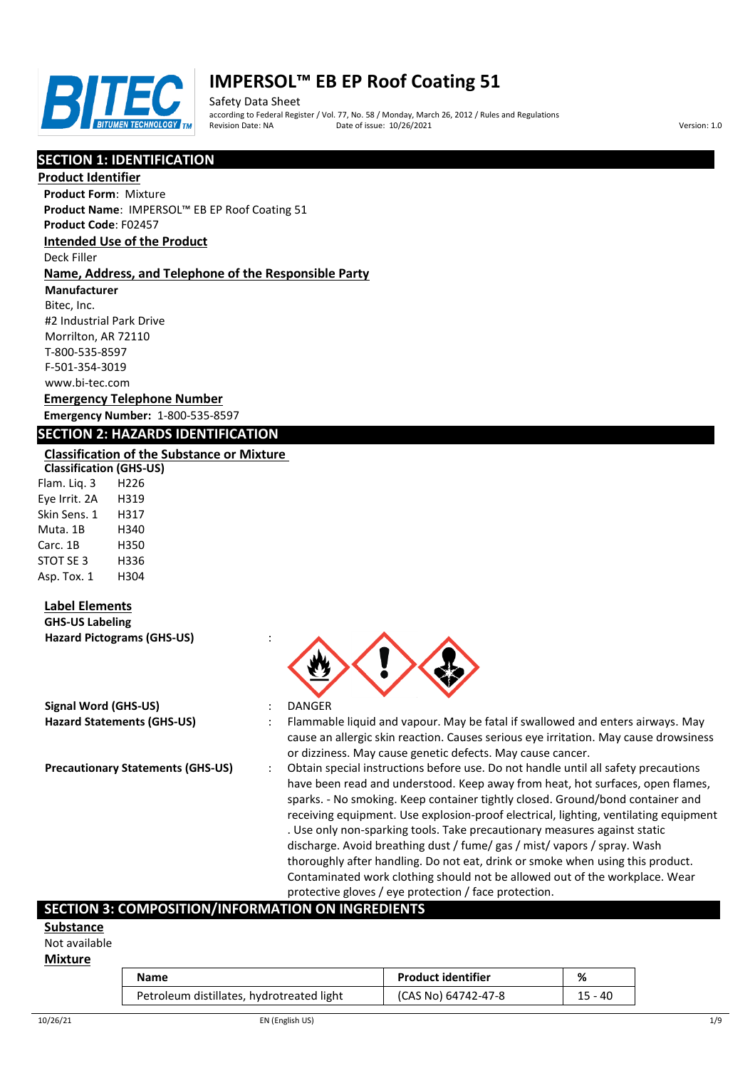

Safety Data Sheet according to Federal Register / Vol. 77, No. 58 / Monday, March 26, 2012 / Rules and Regulations Pate of issue: 10/26/2021 **Version: 1.0** 

# **SECTION 1: IDENTIFICATION**

### **Product Identifier**

**Product Form**: Mixture

**Product Name**: IMPERSOL™ EB EP Roof Coating 51

**Product Code**: F02457

## **Intended Use of the Product**

Deck Filler

### **Name, Address, and Telephone of the Responsible Party**

**Manufacturer**

Bitec, Inc. #2 Industrial Park Drive Morrilton, AR 72110 T-800-535-8597 F-501-354-3019 www.bi-tec.com

### **Emergency Telephone Number Emergency Number:** 1-800-535-8597

## **SECTION 2: HAZARDS IDENTIFICATION**

### **Classification of the Substance or Mixture**

**Classification (GHS-US)** Flam. Liq. 3 H226 Eye Irrit. 2A H319 Skin Sens. 1 H317 Muta. 1B H340 Carc. 1B H350 STOT SE 3 H336 Asp. Tox. 1 H304

## **Label Elements**

**GHS-US Labeling Hazard Pictograms (GHS-US)** :

| Signal Word (GHS-US)              |  |
|-----------------------------------|--|
| <b>Hazard Statements (GHS-US)</b> |  |

- 
- **Signal Word (GHS-US)** : DANGER
- **Hazard Statements (GHS-US)** : Flammable liquid and vapour. May be fatal if swallowed and enters airways. May cause an allergic skin reaction. Causes serious eye irritation. May cause drowsiness or dizziness. May cause genetic defects. May cause cancer.
- **Precautionary Statements (GHS-US)** : Obtain special instructions before use. Do not handle until all safety precautions have been read and understood. Keep away from heat, hot surfaces, open flames, sparks. - No smoking. Keep container tightly closed. Ground/bond container and receiving equipment. Use explosion-proof electrical, lighting, ventilating equipment . Use only non-sparking tools. Take precautionary measures against static discharge. Avoid breathing dust / fume/ gas / mist/ vapors / spray. Wash thoroughly after handling. Do not eat, drink or smoke when using this product. Contaminated work clothing should not be allowed out of the workplace. Wear protective gloves / eye protection / face protection.

## **SECTION 3: COMPOSITION/INFORMATION ON INGREDIENTS**

#### **Substance**

Not available

#### **Mixture**

| Name                                      | <b>Product identifier</b> | %       |
|-------------------------------------------|---------------------------|---------|
| Petroleum distillates, hydrotreated light | (CAS No) 64742-47-8       | 15 - 40 |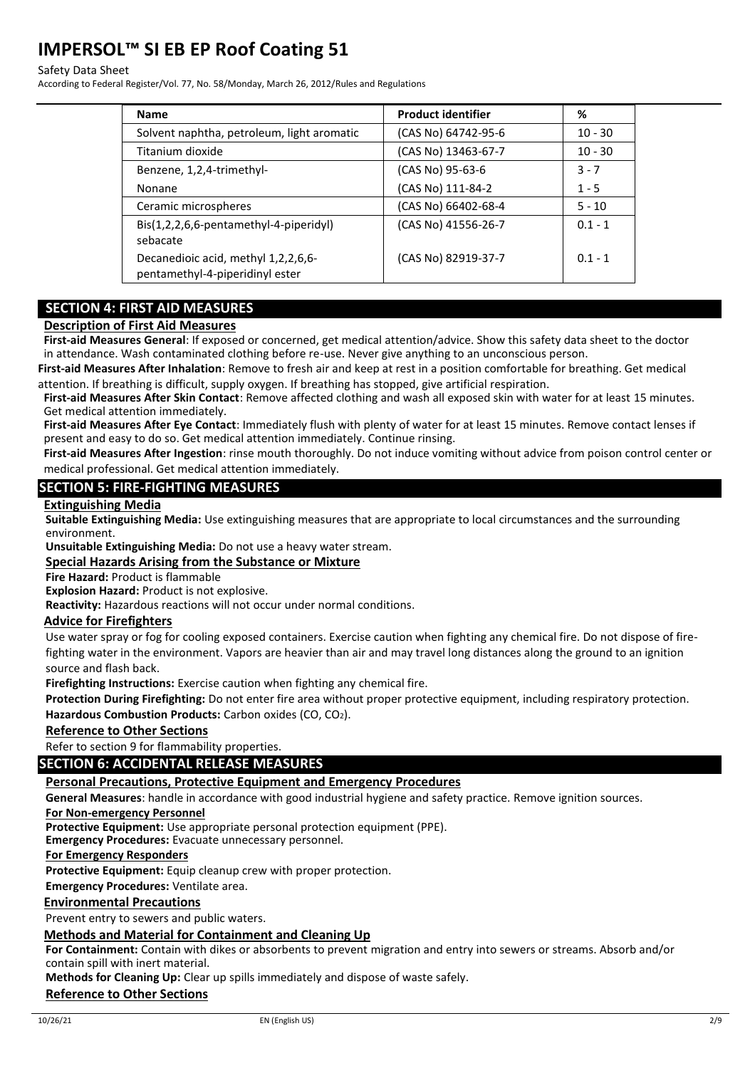#### Safety Data Sheet

According to Federal Register/Vol. 77, No. 58/Monday, March 26, 2012/Rules and Regulations

| <b>Name</b>                                                            | <b>Product identifier</b> | %         |
|------------------------------------------------------------------------|---------------------------|-----------|
| Solvent naphtha, petroleum, light aromatic                             | (CAS No) 64742-95-6       | $10 - 30$ |
| Titanium dioxide                                                       | (CAS No) 13463-67-7       | $10 - 30$ |
| Benzene, 1,2,4-trimethyl-                                              | (CAS No) 95-63-6          | $3 - 7$   |
| Nonane                                                                 | (CAS No) 111-84-2         | $1 - 5$   |
| Ceramic microspheres                                                   | (CAS No) 66402-68-4       | $5 - 10$  |
| Bis(1,2,2,6,6-pentamethyl-4-piperidyl)<br>sebacate                     | (CAS No) 41556-26-7       | $0.1 - 1$ |
| Decanedioic acid, methyl 1,2,2,6,6-<br>pentamethyl-4-piperidinyl ester | (CAS No) 82919-37-7       | $0.1 - 1$ |

## **SECTION 4: FIRST AID MEASURES**

### **Description of First Aid Measures**

**First-aid Measures General**: If exposed or concerned, get medical attention/advice. Show this safety data sheet to the doctor in attendance. Wash contaminated clothing before re-use. Never give anything to an unconscious person.

**First-aid Measures After Inhalation**: Remove to fresh air and keep at rest in a position comfortable for breathing. Get medical attention. If breathing is difficult, supply oxygen. If breathing has stopped, give artificial respiration.

**First-aid Measures After Skin Contact**: Remove affected clothing and wash all exposed skin with water for at least 15 minutes. Get medical attention immediately.

**First-aid Measures After Eye Contact**: Immediately flush with plenty of water for at least 15 minutes. Remove contact lenses if present and easy to do so. Get medical attention immediately. Continue rinsing.

**First-aid Measures After Ingestion**: rinse mouth thoroughly. Do not induce vomiting without advice from poison control center or medical professional. Get medical attention immediately.

### **SECTION 5: FIRE-FIGHTING MEASURES**

### **Extinguishing Media**

**Suitable Extinguishing Media:** Use extinguishing measures that are appropriate to local circumstances and the surrounding environment.

**Unsuitable Extinguishing Media:** Do not use a heavy water stream.

### **Special Hazards Arising from the Substance or Mixture**

**Fire Hazard:** Product is flammable

**Explosion Hazard:** Product is not explosive.

**Reactivity:** Hazardous reactions will not occur under normal conditions.

### **Advice for Firefighters**

Use water spray or fog for cooling exposed containers. Exercise caution when fighting any chemical fire. Do not dispose of firefighting water in the environment. Vapors are heavier than air and may travel long distances along the ground to an ignition source and flash back.

**Firefighting Instructions:** Exercise caution when fighting any chemical fire.

**Protection During Firefighting:** Do not enter fire area without proper protective equipment, including respiratory protection. Hazardous Combustion Products: Carbon oxides (CO, CO<sub>2</sub>).

### **Reference to Other Sections**

Refer to section 9 for flammability properties.

## **SECTION 6: ACCIDENTAL RELEASE MEASURES**

### **Personal Precautions, Protective Equipment and Emergency Procedures**

**General Measures**: handle in accordance with good industrial hygiene and safety practice. Remove ignition sources.

**For Non-emergency Personnel**

**Protective Equipment:** Use appropriate personal protection equipment (PPE).

**Emergency Procedures:** Evacuate unnecessary personnel.

**For Emergency Responders**

**Protective Equipment:** Equip cleanup crew with proper protection.

**Emergency Procedures:** Ventilate area.

## **Environmental Precautions**

Prevent entry to sewers and public waters.

# **Methods and Material for Containment and Cleaning Up**

**For Containment:** Contain with dikes or absorbents to prevent migration and entry into sewers or streams. Absorb and/or contain spill with inert material.

**Methods for Cleaning Up:** Clear up spills immediately and dispose of waste safely.

# **Reference to Other Sections**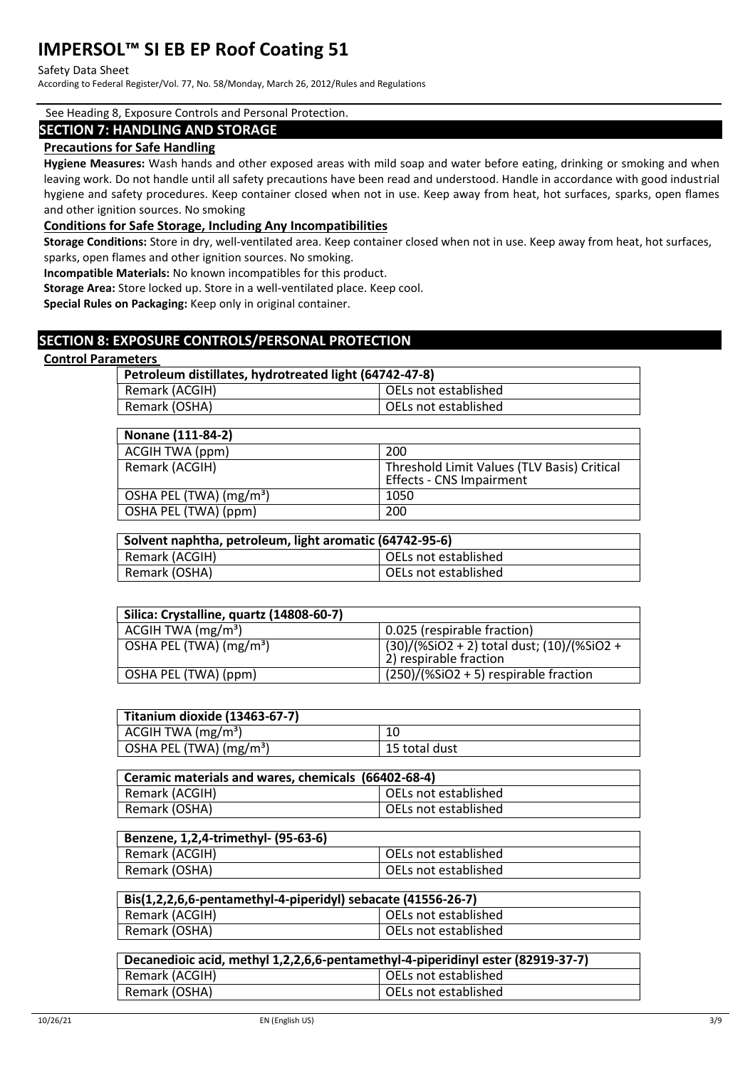#### Safety Data Sheet

According to Federal Register/Vol. 77, No. 58/Monday, March 26, 2012/Rules and Regulations

#### See Heading 8, Exposure Controls and Personal Protection.

### **SECTION 7: HANDLING AND STORAGE**

### **Precautions for Safe Handling**

**Hygiene Measures:** Wash hands and other exposed areas with mild soap and water before eating, drinking or smoking and when leaving work. Do not handle until all safety precautions have been read and understood. Handle in accordance with good industrial hygiene and safety procedures. Keep container closed when not in use. Keep away from heat, hot surfaces, sparks, open flames and other ignition sources. No smoking

### **Conditions for Safe Storage, Including Any Incompatibilities**

**Storage Conditions:** Store in dry, well-ventilated area. Keep container closed when not in use. Keep away from heat, hot surfaces, sparks, open flames and other ignition sources. No smoking.

**Incompatible Materials:** No known incompatibles for this product.

**Storage Area:** Store locked up. Store in a well-ventilated place. Keep cool.

**Special Rules on Packaging:** Keep only in original container.

## **SECTION 8: EXPOSURE CONTROLS/PERSONAL PROTECTION**

### **Control Parameters**

| Petroleum distillates, hydrotreated light (64742-47-8) |                      |
|--------------------------------------------------------|----------------------|
| Remark (ACGIH)                                         | OELs not established |
| Remark (OSHA)                                          | OELs not established |

| Nonane (111-84-2)                   |                                                                                |
|-------------------------------------|--------------------------------------------------------------------------------|
| ACGIH TWA (ppm)                     | 200                                                                            |
| Remark (ACGIH)                      | Threshold Limit Values (TLV Basis) Critical<br><b>Effects - CNS Impairment</b> |
| OSHA PEL (TWA) (mg/m <sup>3</sup> ) | 1050                                                                           |
| OSHA PEL (TWA) (ppm)                | 200                                                                            |

| Solvent naphtha, petroleum, light aromatic (64742-95-6) |                      |
|---------------------------------------------------------|----------------------|
| Remark (ACGIH)                                          | OELs not established |
| Remark (OSHA)                                           | OELs not established |

| Silica: Crystalline, quartz (14808-60-7) |                                                                      |
|------------------------------------------|----------------------------------------------------------------------|
| ACGIH TWA $(mg/m3)$                      | 0.025 (respirable fraction)                                          |
| OSHA PEL (TWA) (mg/m <sup>3</sup> )      | (30)/(%SiO2 + 2) total dust; (10)/(%SiO2 +<br>2) respirable fraction |
| OSHA PEL (TWA) (ppm)                     | $(250)/(%SiO2 + 5)$ respirable fraction                              |

| Titanium dioxide (13463-67-7)       |               |
|-------------------------------------|---------------|
| ACGIH TWA $(mg/m3)$                 |               |
| OSHA PEL (TWA) (mg/m <sup>3</sup> ) | 15 total dust |

| Ceramic materials and wares, chemicals (66402-68-4) |                      |
|-----------------------------------------------------|----------------------|
| Remark (ACGIH)                                      | OELs not established |
| Remark (OSHA)                                       | OELs not established |

| Benzene, 1,2,4-trimethyl- (95-63-6) |                      |
|-------------------------------------|----------------------|
| Remark (ACGIH)                      | OELs not established |
| Remark (OSHA)                       | OELs not established |

| Bis(1,2,2,6,6-pentamethyl-4-piperidyl) sebacate (41556-26-7) |                      |  |
|--------------------------------------------------------------|----------------------|--|
| Remark (ACGIH)                                               | OELs not established |  |
| Remark (OSHA)                                                | OELs not established |  |

| Decanedioic acid, methyl 1,2,2,6,6-pentamethyl-4-piperidinyl ester (82919-37-7) |                      |  |
|---------------------------------------------------------------------------------|----------------------|--|
| Remark (ACGIH)                                                                  | OELs not established |  |
| Remark (OSHA)                                                                   | OELs not established |  |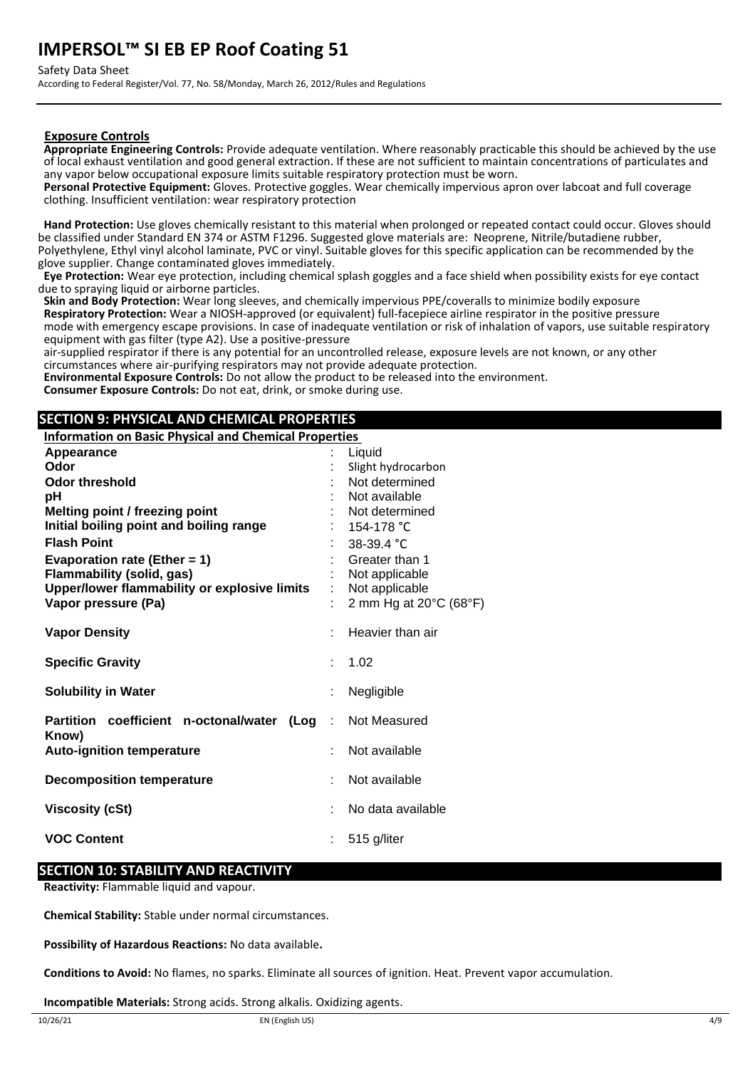Safety Data Sheet

According to Federal Register/Vol. 77, No. 58/Monday, March 26, 2012/Rules and Regulations

### **Exposure Controls**

**Appropriate Engineering Controls:** Provide adequate ventilation. Where reasonably practicable this should be achieved by the use of local exhaust ventilation and good general extraction. If these are not sufficient to maintain concentrations of particulates and any vapor below occupational exposure limits suitable respiratory protection must be worn.

**Personal Protective Equipment:** Gloves. Protective goggles. Wear chemically impervious apron over labcoat and full coverage clothing. Insufficient ventilation: wear respiratory protection

**Hand Protection:** Use gloves chemically resistant to this material when prolonged or repeated contact could occur. Gloves should be classified under Standard EN 374 or ASTM F1296. Suggested glove materials are: Neoprene, Nitrile/butadiene rubber, Polyethylene, Ethyl vinyl alcohol laminate, PVC or vinyl. Suitable gloves for this specific application can be recommended by the glove supplier. Change contaminated gloves immediately.

**Eye Protection:** Wear eye protection, including chemical splash goggles and a face shield when possibility exists for eye contact due to spraying liquid or airborne particles.

**Skin and Body Protection:** Wear long sleeves, and chemically impervious PPE/coveralls to minimize bodily exposure **Respiratory Protection:** Wear a NIOSH-approved (or equivalent) full-facepiece airline respirator in the positive pressure mode with emergency escape provisions. In case of inadequate ventilation or risk of inhalation of vapors, use suitable respiratory equipment with gas filter (type A2). Use a positive-pressure

air-supplied respirator if there is any potential for an uncontrolled release, exposure levels are not known, or any other circumstances where air-purifying respirators may not provide adequate protection.

**Environmental Exposure Controls:** Do not allow the product to be released into the environment. **Consumer Exposure Controls:** Do not eat, drink, or smoke during use.

## **SECTION 9: PHYSICAL AND CHEMICAL PROPERTIES**

**Information on Basic Physical and Chemical Properties** 

| Appearance                                                  | Liquid                 |
|-------------------------------------------------------------|------------------------|
| Odor                                                        | Slight hydrocarbon     |
| <b>Odor threshold</b>                                       | Not determined         |
| рH                                                          | Not available          |
| <b>Melting point / freezing point</b>                       | Not determined         |
| Initial boiling point and boiling range                     | 154-178 °C             |
| <b>Flash Point</b>                                          | 38-39.4 °C             |
| Evaporation rate (Ether = $1$ )                             | Greater than 1         |
| <b>Flammability (solid, gas)</b>                            | Not applicable         |
| Upper/lower flammability or explosive limits                | Not applicable         |
| Vapor pressure (Pa)                                         | 2 mm Hg at 20°C (68°F) |
|                                                             |                        |
| <b>Vapor Density</b>                                        | Heavier than air       |
| <b>Specific Gravity</b>                                     | 1.02                   |
| <b>Solubility in Water</b>                                  | Negligible             |
|                                                             | Not Measured           |
| Partition coefficient n-octonal/water<br>$($ Log :<br>Know) |                        |
| <b>Auto-ignition temperature</b>                            | Not available          |
| <b>Decomposition temperature</b>                            | Not available          |
| <b>Viscosity (cSt)</b>                                      | No data available      |
|                                                             |                        |
| <b>VOC Content</b>                                          | 515 g/liter            |

## **SECTION 10: STABILITY AND REACTIVITY**

**Reactivity:** Flammable liquid and vapour.

**Chemical Stability:** Stable under normal circumstances.

**Possibility of Hazardous Reactions:** No data available**.**

**Conditions to Avoid:** No flames, no sparks. Eliminate all sources of ignition. Heat. Prevent vapor accumulation.

**Incompatible Materials:** Strong acids. Strong alkalis. Oxidizing agents.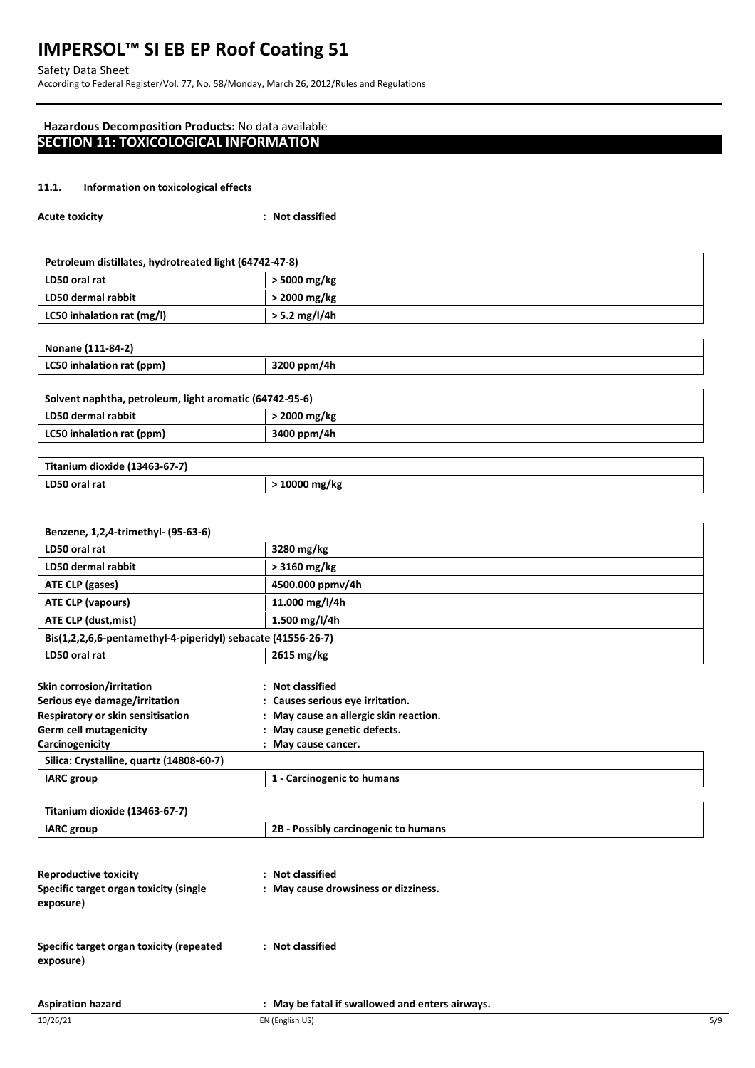Safety Data Sheet

According to Federal Register/Vol. 77, No. 58/Monday, March 26, 2012/Rules and Regulations

# **Hazardous Decomposition Products:** No data available **SECTION 11: TOXICOLOGICAL INFORMATION**

### **11.1. Information on toxicological effects**

| <b>Acute toxicity</b> | : Not classified |
|-----------------------|------------------|
|-----------------------|------------------|

| Petroleum distillates, hydrotreated light (64742-47-8) |                 |  |
|--------------------------------------------------------|-----------------|--|
| LD50 oral rat                                          | > 5000 mg/kg    |  |
| LD50 dermal rabbit                                     | $>$ 2000 mg/kg  |  |
| LC50 inhalation rat (mg/l)                             | $> 5.2$ mg/l/4h |  |
|                                                        |                 |  |

|  | Nonane (111-84-2) |
|--|-------------------|
|--|-------------------|

| INOIIdIIE (111-04-4)      |             |  |
|---------------------------|-------------|--|
| LC50 inhalation rat (ppm) | 3200 ppm/4h |  |
|                           |             |  |

## **Solvent naphtha, petroleum, light aromatic (64742-95-6)**

| LD50 dermal rabbit        | 2000 mg/kg  |
|---------------------------|-------------|
| LC50 inhalation rat (ppm) | 3400 ppm/4h |
|                           |             |

| Titanium dioxide (13463-67-7) |             |  |
|-------------------------------|-------------|--|
| LD50 oral rat                 | 10000 mg/kg |  |

| Benzene, 1,2,4-trimethyl- (95-63-6)                          |                                        |  |
|--------------------------------------------------------------|----------------------------------------|--|
| LD50 oral rat                                                | 3280 mg/kg                             |  |
| LD50 dermal rabbit                                           | $>$ 3160 mg/kg                         |  |
| ATE CLP (gases)                                              | 4500.000 ppmv/4h                       |  |
| ATE CLP (vapours)                                            | 11.000 mg/l/4h                         |  |
| ATE CLP (dust, mist)                                         | 1.500 mg/l/4h                          |  |
| Bis(1,2,2,6,6-pentamethyl-4-piperidyl) sebacate (41556-26-7) |                                        |  |
| LD50 oral rat                                                | 2615 mg/kg                             |  |
| Skin corrosion/irritation                                    | : Not classified                       |  |
| Serious eye damage/irritation                                | : Causes serious eye irritation.       |  |
| Respiratory or skin sensitisation                            | : May cause an allergic skin reaction. |  |
| <b>Germ cell mutagenicity</b>                                | : May cause genetic defects.           |  |
| Carcinogenicity                                              | : May cause cancer.                    |  |
| Silica: Crystalline, quartz (14808-60-7)                     |                                        |  |
| <b>IARC</b> group                                            | 1 - Carcinogenic to humans             |  |

| Titanium dioxide (13463-67-7)                         |                                                 |
|-------------------------------------------------------|-------------------------------------------------|
| <b>IARC</b> group                                     | 2B - Possibly carcinogenic to humans            |
|                                                       |                                                 |
| <b>Reproductive toxicity</b>                          | <b>Not classified</b><br>$\ddot{\phantom{a}}$   |
| Specific target organ toxicity (single<br>exposure)   | : May cause drowsiness or dizziness.            |
| Specific target organ toxicity (repeated<br>exposure) | : Not classified                                |
| <b>Aspiration hazard</b>                              | : May be fatal if swallowed and enters airways. |

 $\mathbf{I}$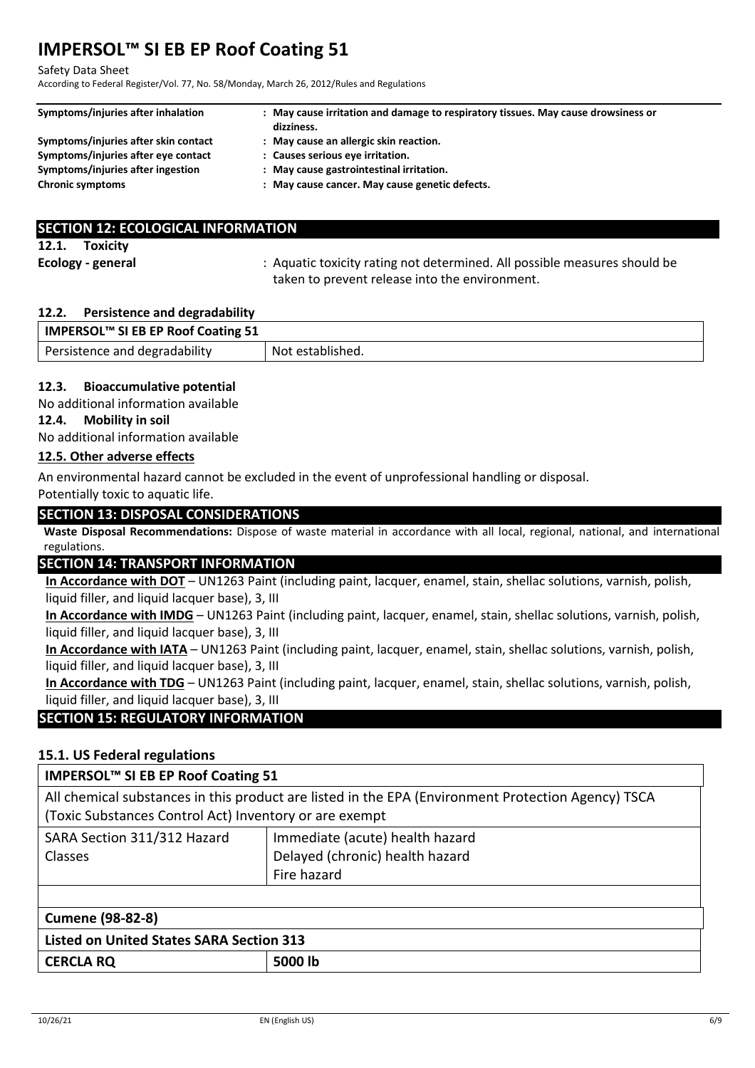#### Safety Data Sheet

According to Federal Register/Vol. 77, No. 58/Monday, March 26, 2012/Rules and Regulations

| Symptoms/injuries after inhalation   | : May cause irritation and damage to respiratory tissues. May cause drowsiness or<br>dizziness. |
|--------------------------------------|-------------------------------------------------------------------------------------------------|
| Symptoms/injuries after skin contact | : May cause an allergic skin reaction.                                                          |
| Symptoms/injuries after eye contact  | : Causes serious eye irritation.                                                                |
| Symptoms/injuries after ingestion    | : May cause gastrointestinal irritation.                                                        |
| <b>Chronic symptoms</b>              | : May cause cancer. May cause genetic defects.                                                  |

| <b>SECTION 12: ECOLOGICAL INFORMATION</b> |                                                                           |  |
|-------------------------------------------|---------------------------------------------------------------------------|--|
| 12.1. Toxicity                            | : Aquatic toxicity rating not determined. All possible measures should be |  |
| Ecology - general                         | taken to prevent release into the environment.                            |  |

### **12.2. Persistence and degradability**

| IMPERSOL <sup>™</sup> SI EB EP Roof Coating 51 |                  |  |
|------------------------------------------------|------------------|--|
| Persistence and degradability                  | Not established. |  |

### **12.3. Bioaccumulative potential**

No additional information available

### **12.4. Mobility in soil**

No additional information available

### **12.5. Other adverse effects**

An environmental hazard cannot be excluded in the event of unprofessional handling or disposal. Potentially toxic to aquatic life.

## **SECTION 13: DISPOSAL CONSIDERATIONS**

**Waste Disposal Recommendations:** Dispose of waste material in accordance with all local, regional, national, and international regulations.

## **SECTION 14: TRANSPORT INFORMATION**

**In Accordance with DOT** – UN1263 Paint (including paint, lacquer, enamel, stain, shellac solutions, varnish, polish, liquid filler, and liquid lacquer base), 3, III

**In Accordance with IMDG** – UN1263 Paint (including paint, lacquer, enamel, stain, shellac solutions, varnish, polish, liquid filler, and liquid lacquer base), 3, III

**In Accordance with IATA** – UN1263 Paint (including paint, lacquer, enamel, stain, shellac solutions, varnish, polish, liquid filler, and liquid lacquer base), 3, III

**In Accordance with TDG** – UN1263 Paint (including paint, lacquer, enamel, stain, shellac solutions, varnish, polish, liquid filler, and liquid lacquer base), 3, III

# **SECTION 15: REGULATORY INFORMATION**

## **15.1. US Federal regulations**

# **IMPERSOL™ SI EB EP Roof Coating 51**

All chemical substances in this product are listed in the EPA (Environment Protection Agency) TSCA (Toxic Substances Control Act) Inventory or are exempt

| SARA Section 311/312 Hazard | Immediate (acute) health hazard |
|-----------------------------|---------------------------------|
| <b>Classes</b>              | Delayed (chronic) health hazard |
|                             | Fire hazard                     |
|                             |                                 |

| Cumene (98-82-8)                                |  |  |  |
|-------------------------------------------------|--|--|--|
| <b>Listed on United States SARA Section 313</b> |  |  |  |
| 5000 lb<br>  CERCLA RQ                          |  |  |  |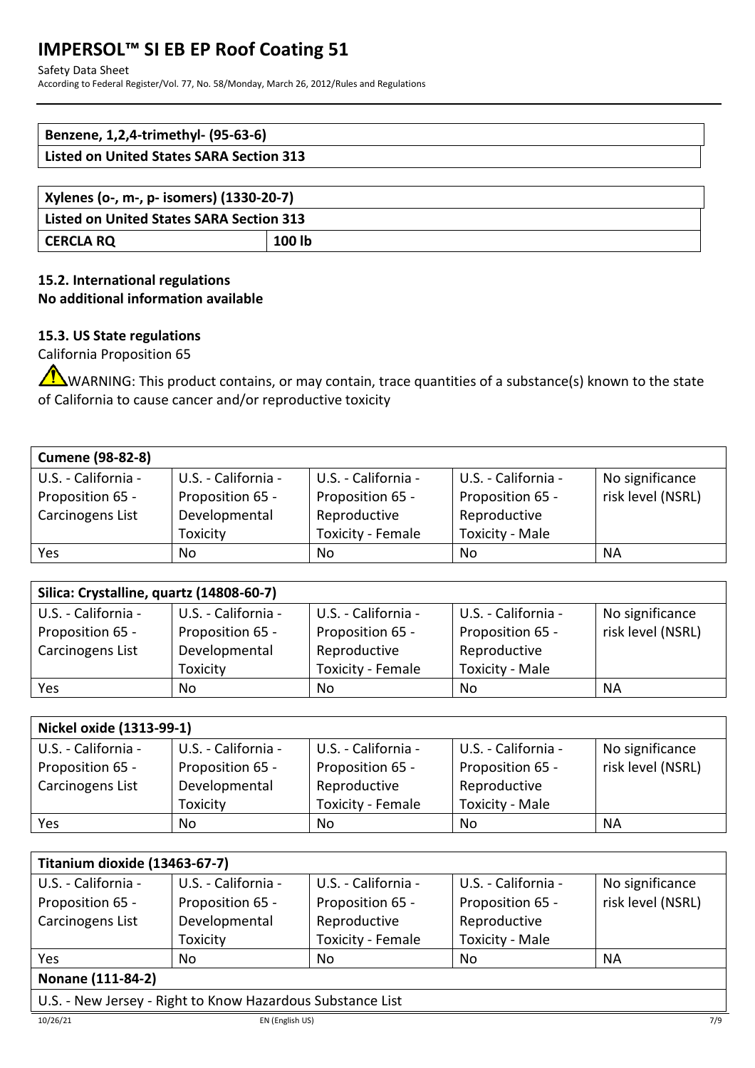### Safety Data Sheet

According to Federal Register/Vol. 77, No. 58/Monday, March 26, 2012/Rules and Regulations

| Benzene, 1,2,4-trimethyl- (95-63-6)             |  |
|-------------------------------------------------|--|
| <b>Listed on United States SARA Section 313</b> |  |
|                                                 |  |

| Xylenes (o-, m-, p- isomers) (1330-20-7)        |        |  |
|-------------------------------------------------|--------|--|
| <b>Listed on United States SARA Section 313</b> |        |  |
| CERCLA RQ                                       | 100 lb |  |

# **15.2. International regulations No additional information available**

# **15.3. US State regulations**

California Proposition 65

WARNING: This product contains, or may contain, trace quantities of a substance(s) known to the state of California to cause cancer and/or reproductive toxicity

| <b>Cumene (98-82-8)</b> |                     |                     |                        |                   |
|-------------------------|---------------------|---------------------|------------------------|-------------------|
| U.S. - California -     | U.S. - California - | U.S. - California - | U.S. - California -    | No significance   |
| Proposition 65 -        | Proposition 65 -    | Proposition 65 -    | Proposition 65 -       | risk level (NSRL) |
| Carcinogens List        | Developmental       | Reproductive        | Reproductive           |                   |
|                         | Toxicity            | Toxicity - Female   | <b>Toxicity - Male</b> |                   |
| Yes                     | No                  | No                  | No                     | NА                |

| Silica: Crystalline, quartz (14808-60-7) |                     |                     |                        |                   |
|------------------------------------------|---------------------|---------------------|------------------------|-------------------|
| U.S. - California -                      | U.S. - California - | U.S. - California - | U.S. - California -    | No significance   |
| Proposition 65 -                         | Proposition 65 -    | Proposition 65 -    | Proposition 65 -       | risk level (NSRL) |
| Carcinogens List                         | Developmental       | Reproductive        | Reproductive           |                   |
|                                          | Toxicity            | Toxicity - Female   | <b>Toxicity - Male</b> |                   |
| Yes                                      | No                  | No                  | No                     | <b>NA</b>         |

| Nickel oxide (1313-99-1) |                     |                     |                        |                   |
|--------------------------|---------------------|---------------------|------------------------|-------------------|
| U.S. - California -      | U.S. - California - | U.S. - California - | U.S. - California -    | No significance   |
| Proposition 65 -         | Proposition 65 -    | Proposition 65 -    | Proposition 65 -       | risk level (NSRL) |
| Carcinogens List         | Developmental       | Reproductive        | Reproductive           |                   |
|                          | Toxicity            | Toxicity - Female   | <b>Toxicity - Male</b> |                   |
| Yes                      | No                  | No                  | No                     | ΝA                |

| Titanium dioxide (13463-67-7) |                     |                          |                        |                   |
|-------------------------------|---------------------|--------------------------|------------------------|-------------------|
| U.S. - California -           | U.S. - California - | U.S. - California -      | U.S. - California -    | No significance   |
| Proposition 65 -              | Proposition 65 -    | Proposition 65 -         | Proposition 65 -       | risk level (NSRL) |
| Carcinogens List              | Developmental       | Reproductive             | Reproductive           |                   |
|                               | Toxicity            | <b>Toxicity - Female</b> | <b>Toxicity - Male</b> |                   |
| Yes                           | No                  | No                       | No                     | NА                |
| Nonane (111-84-2)             |                     |                          |                        |                   |

## **Nonane (111-84-2)**

U.S. - New Jersey - Right to Know Hazardous Substance List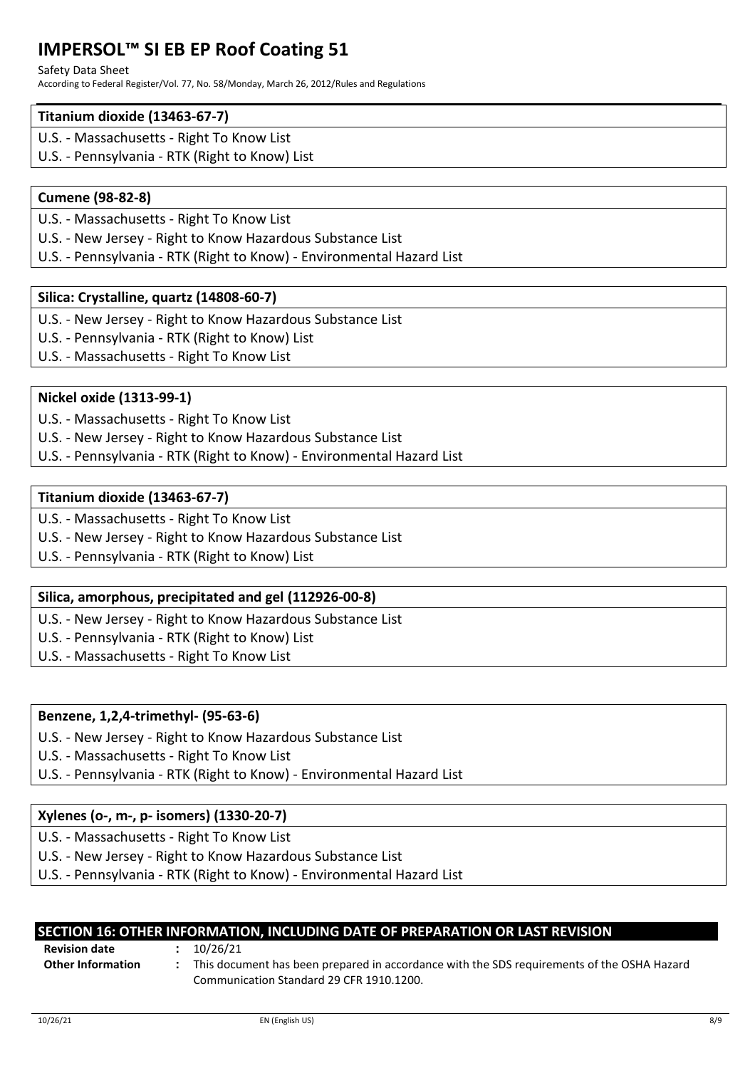#### Safety Data Sheet

According to Federal Register/Vol. 77, No. 58/Monday, March 26, 2012/Rules and Regulations

# **Titanium dioxide (13463-67-7)**

- U.S. Massachusetts Right To Know List
- U.S. Pennsylvania RTK (Right to Know) List

# **Cumene (98-82-8)**

- U.S. Massachusetts Right To Know List
- U.S. New Jersey Right to Know Hazardous Substance List
- U.S. Pennsylvania RTK (Right to Know) Environmental Hazard List

# **Silica: Crystalline, quartz (14808-60-7)**

- U.S. New Jersey Right to Know Hazardous Substance List
- U.S. Pennsylvania RTK (Right to Know) List
- U.S. Massachusetts Right To Know List

# **Nickel oxide (1313-99-1)**

- U.S. Massachusetts Right To Know List
- U.S. New Jersey Right to Know Hazardous Substance List
- U.S. Pennsylvania RTK (Right to Know) Environmental Hazard List

# **Titanium dioxide (13463-67-7)**

- U.S. Massachusetts Right To Know List
- U.S. New Jersey Right to Know Hazardous Substance List
- U.S. Pennsylvania RTK (Right to Know) List

# **Silica, amorphous, precipitated and gel (112926-00-8)**

- U.S. New Jersey Right to Know Hazardous Substance List
- U.S. Pennsylvania RTK (Right to Know) List
- U.S. Massachusetts Right To Know List

# **Benzene, 1,2,4-trimethyl- (95-63-6)**

- U.S. New Jersey Right to Know Hazardous Substance List
- U.S. Massachusetts Right To Know List
- U.S. Pennsylvania RTK (Right to Know) Environmental Hazard List

# **Xylenes (o-, m-, p- isomers) (1330-20-7)**

- U.S. Massachusetts Right To Know List
- U.S. New Jersey Right to Know Hazardous Substance List
- U.S. Pennsylvania RTK (Right to Know) Environmental Hazard List

## **SECTION 16: OTHER INFORMATION, INCLUDING DATE OF PREPARATION OR LAST REVISION Revision date :** 10/26/21

| <b>Revision date</b> |  |  |
|----------------------|--|--|
| Other Informatic     |  |  |

**Other Information :** This document has been prepared in accordance with the SDS requirements of the OSHA Hazard Communication Standard 29 CFR 1910.1200.